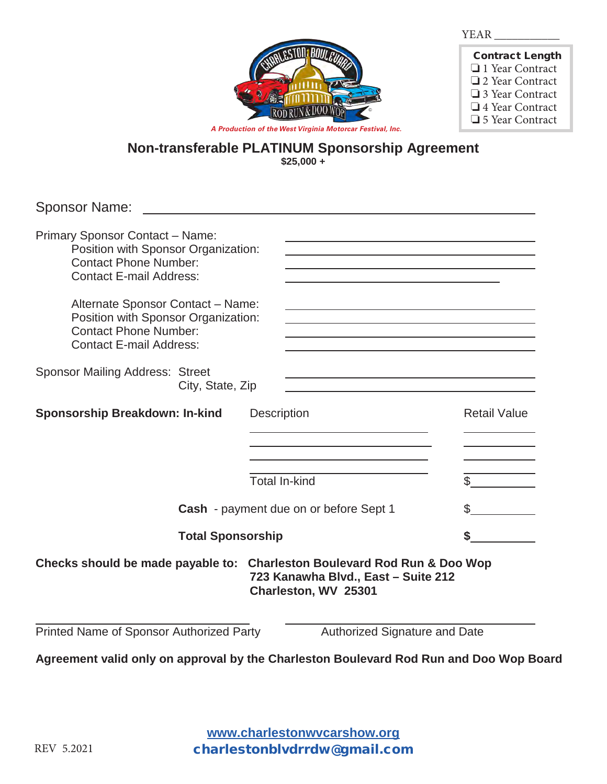

| <b>Contract Length</b> |
|------------------------|
| $\Box$ 1 Year Contract |
| □ 2 Year Contract      |
| $\Box$ 3 Year Contract |
| $\Box$ 4 Year Contract |
| $\Box$ 5 Year Contract |

## **Non-transferable PLATINUM Sponsorship Agreement \$25,000 +**

Sponsor Name:

| <b>Primary Sponsor Contact - Name:</b><br>Position with Sponsor Organization:<br><b>Contact Phone Number:</b><br><b>Contact E-mail Address:</b> |                                                                                                                                         |                     |
|-------------------------------------------------------------------------------------------------------------------------------------------------|-----------------------------------------------------------------------------------------------------------------------------------------|---------------------|
| Alternate Sponsor Contact - Name:<br>Position with Sponsor Organization:<br><b>Contact Phone Number:</b><br><b>Contact E-mail Address:</b>      |                                                                                                                                         |                     |
| <b>Sponsor Mailing Address: Street</b><br>City, State, Zip                                                                                      |                                                                                                                                         |                     |
| <b>Sponsorship Breakdown: In-kind</b>                                                                                                           | <b>Description</b>                                                                                                                      | <b>Retail Value</b> |
|                                                                                                                                                 |                                                                                                                                         |                     |
|                                                                                                                                                 | <b>Total In-kind</b>                                                                                                                    | $\mathbb S$         |
| Cash - payment due on or before Sept 1                                                                                                          |                                                                                                                                         | \$                  |
| <b>Total Sponsorship</b>                                                                                                                        |                                                                                                                                         |                     |
|                                                                                                                                                 | Checks should be made payable to: Charleston Boulevard Rod Run & Doo Wop<br>723 Kanawha Blvd., East - Suite 212<br>Charleston, WV 25301 |                     |
| Printed Name of Sponsor Authorized Party                                                                                                        | Authorized Signature and Date                                                                                                           |                     |

**Agreement valid only on approval by the Charleston Boulevard Rod Run and Doo Wop Board**

**www.charlestonwvcarshow.org** charlestonblvdrrdw@gmail.com